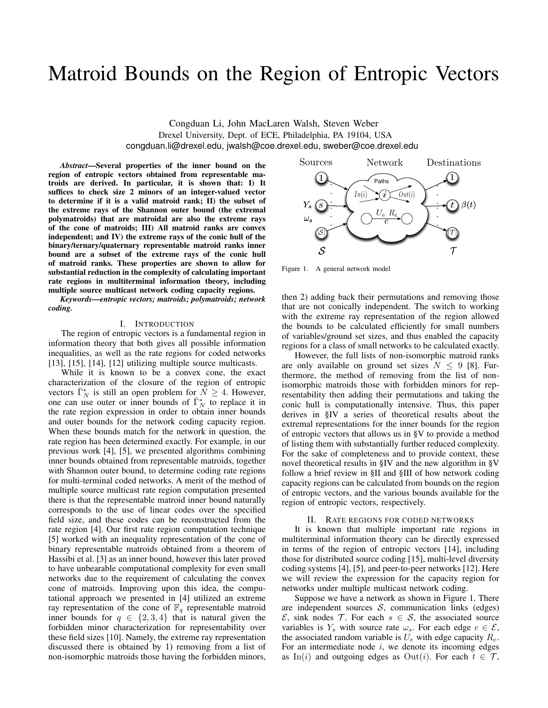# Matroid Bounds on the Region of Entropic Vectors

Congduan Li, John MacLaren Walsh, Steven Weber Drexel University, Dept. of ECE, Philadelphia, PA 19104, USA congduan.li@drexel.edu, jwalsh@coe.drexel.edu, sweber@coe.drexel.edu

*Abstract*—Several properties of the inner bound on the region of entropic vectors obtained from representable matroids are derived. In particular, it is shown that: I) It suffices to check size 2 minors of an integer-valued vector to determine if it is a valid matroid rank; II) the subset of the extreme rays of the Shannon outer bound (the extremal polymatroids) that are matroidal are also the extreme rays of the cone of matroids; III) All matroid ranks are convex independent; and IV) the extreme rays of the conic hull of the binary/ternary/quaternary representable matroid ranks inner bound are a subset of the extreme rays of the conic hull of matroid ranks. These properties are shown to allow for substantial reduction in the complexity of calculating important rate regions in multiterminal information theory, including multiple source multicast network coding capacity regions.

*Keywords*—*entropic vectors; matroids; polymatroids; network coding.*

# I. INTRODUCTION

The region of entropic vectors is a fundamental region in information theory that both gives all possible information inequalities, as well as the rate regions for coded networks [\[13\]](#page-7-0), [\[15\]](#page-7-1), [\[14\]](#page-7-2), [\[12\]](#page-7-3) utilizing multiple source multicasts.

While it is known to be a convex cone, the exact characterization of the closure of the region of entropic vectors  $\bar{\Gamma}_N^*$  is still an open problem for  $\bar{N} \geq 4$ . However, one can use outer or inner bounds of  $\overline{\Gamma}_N^*$  to replace it in the rate region expression in order to obtain inner bounds and outer bounds for the network coding capacity region. When these bounds match for the network in question, the rate region has been determined exactly. For example, in our previous work [\[4\]](#page-7-4), [\[5\]](#page-7-5), we presented algorithms combining inner bounds obtained from representable matroids, together with Shannon outer bound, to determine coding rate regions for multi-terminal coded networks. A merit of the method of multiple source multicast rate region computation presented there is that the representable matroid inner bound naturally corresponds to the use of linear codes over the specified field size, and these codes can be reconstructed from the rate region [\[4\]](#page-7-4). Our first rate region computation technique [\[5\]](#page-7-5) worked with an inequality representation of the cone of binary representable matroids obtained from a theorem of Hassibi et al. [\[3\]](#page-7-6) as an inner bound, however this later proved to have unbearable computational complexity for even small networks due to the requirement of calculating the convex cone of matroids. Improving upon this idea, the computational approach we presented in [\[4\]](#page-7-4) utilized an extreme ray representation of the cone of  $\mathbb{F}_q$  representable matroid inner bounds for  $q \in \{2, 3, 4\}$  that is natural given the forbidden minor characterization for representability over these field sizes [\[10\]](#page-7-7). Namely, the extreme ray representation discussed there is obtained by 1) removing from a list of non-isomorphic matroids those having the forbidden minors,



<span id="page-0-1"></span>Figure 1. A general network model

then 2) adding back their permutations and removing those that are not conically independent. The switch to working with the extreme ray representation of the region allowed the bounds to be calculated efficiently for small numbers of variables/ground set sizes, and thus enabled the capacity regions for a class of small networks to be calculated exactly.

However, the full lists of non-isomorphic matroid ranks are only available on ground set sizes  $N < 9$  [\[8\]](#page-7-8). Furthermore, the method of removing from the list of nonisomorphic matroids those with forbidden minors for representability then adding their permutations and taking the conic hull is computationally intensive. Thus, this paper derives in [§IV](#page-3-0) a series of theoretical results about the extremal representations for the inner bounds for the region of entropic vectors that allows us in [§V](#page-4-0) to provide a method of listing them with substantially further reduced complexity. For the sake of completeness and to provide context, these novel theoretical results in [§IV](#page-3-0) and the new algorithm in [§V](#page-4-0) follow a brief review in [§II](#page-0-0) and [§III](#page-1-0) of how network coding capacity regions can be calculated from bounds on the region of entropic vectors, and the various bounds available for the region of entropic vectors, respectively.

#### II. RATE REGIONS FOR CODED NETWORKS

<span id="page-0-0"></span>It is known that multiple important rate regions in multiterminal information theory can be directly expressed in terms of the region of entropic vectors [\[14\]](#page-7-2), including those for distributed source coding [\[15\]](#page-7-1), multi-level diversity coding systems [\[4\]](#page-7-4), [\[5\]](#page-7-5), and peer-to-peer networks [\[12\]](#page-7-3). Here we will review the expression for the capacity region for networks under multiple multicast network coding.

Suppose we have a network as shown in Figure [1.](#page-0-1) There are independent sources  $S$ , communication links (edges)  $\mathcal{E}$ , sink nodes  $\mathcal{T}$ . For each  $s \in \mathcal{S}$ , the associated source variables is  $Y_s$  with source rate  $\omega_s$ . For each edge  $e \in \mathcal{E}$ , the associated random variable is  $U_e$  with edge capacity  $R_e$ . For an intermediate node  $i$ , we denote its incoming edges as In(i) and outgoing edges as Out(i). For each  $t \in \mathcal{T}$ ,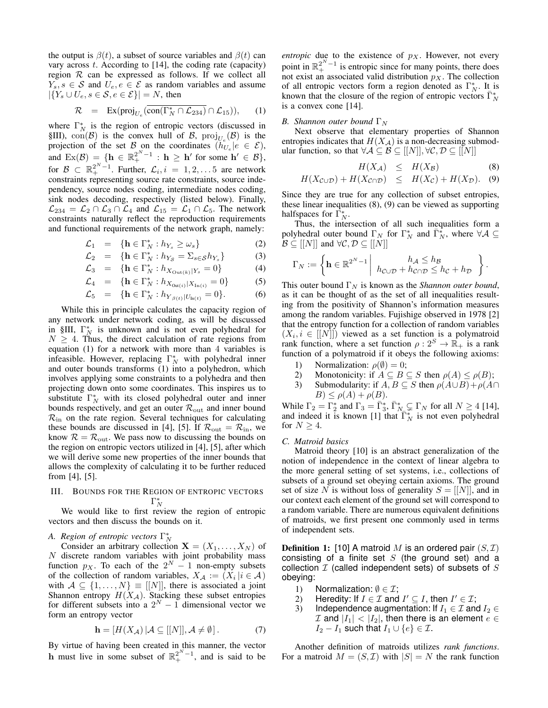the output is  $\beta(t)$ , a subset of source variables and  $\beta(t)$  can vary across  $t$ . According to [\[14\]](#page-7-2), the coding rate (capacity) region  $R$  can be expressed as follows. If we collect all  $Y_s, s \in \mathcal{S}$  and  $U_e, e \in \mathcal{E}$  as random variables and assume  $|\{Y_s \cup U_e, s \in \mathcal{S}, e \in \mathcal{E}\}| = N$ , then

<span id="page-1-1"></span>
$$
\mathcal{R} = \operatorname{Ex}(proj_{U_e}(\overline{\operatorname{con}(\Gamma_N^* \cap \mathcal{L}_{234})} \cap \mathcal{L}_{15})), \quad (1)
$$

where  $\Gamma_N^*$  is the region of entropic vectors (discussed in [§III\)](#page-1-0), con(B) is the convex hull of B,  $\text{proj}_{U_e}(\mathcal{B})$  is the projection of the set  $\mathcal{B}_{\text{on}}$  the coordinates  $(h_{U_e}|e \in \mathcal{E}),$ and  $\text{Ex}(\mathcal{B}) = \{ \mathbf{h} \in \mathbb{R}_+^{2^N - 1} : \mathbf{h} \geq \mathbf{h}' \text{ for some } \mathbf{h}' \in \mathcal{B} \},$ for  $\mathcal{B} \subset \mathbb{R}_+^{2^N-1}$ . Further,  $\mathcal{L}_i, i = 1, 2, \ldots, 5$  are network constraints representing source rate constraints, source independency, source nodes coding, intermediate nodes coding, sink nodes decoding, respectively (listed below). Finally,  $\mathcal{L}_{234} = \mathcal{L}_2 \cap \mathcal{L}_3 \cap \mathcal{L}_4$  and  $\mathcal{L}_{15} = \mathcal{L}_1 \cap \mathcal{L}_5$ . The network constraints naturally reflect the reproduction requirements and functional requirements of the network graph, namely:

$$
\mathcal{L}_1 = \{ \mathbf{h} \in \Gamma_N^* : h_{Y_s} \ge \omega_s \} \tag{2}
$$

$$
\mathcal{L}_2 = \{ \mathbf{h} \in \Gamma_N^* : h_{Y_{\mathcal{S}}} = \Sigma_{s \in \mathcal{S}} h_{Y_s} \} \tag{3}
$$

$$
\mathcal{L}_3 = \{ \mathbf{h} \in \Gamma_N^* : h_{X_{\text{Out}(k)}|Y_s} = 0 \}
$$
 (4)

$$
\mathcal{L}_4 = \{ \mathbf{h} \in \Gamma_N^* : h_{X_{\text{Out}(i)} | X_{\text{In}(i)}} = 0 \}
$$
 (5)

$$
\mathcal{L}_5 = \{ \mathbf{h} \in \Gamma_N^* : h_{Y_{\beta(t)} | U_{\text{In}(t)}} = 0 \}.
$$
 (6)

While this in principle calculates the capacity region of any network under network coding, as will be discussed in [§III,](#page-1-0)  $\Gamma_N^*$  is unknown and is not even polyhedral for  $N \geq 4$ . Thus, the direct calculation of rate regions from equation [\(1\)](#page-1-1) for a network with more than 4 variables is infeasible. However, replacing  $\Gamma_N^*$  with polyhedral inner and outer bounds transforms [\(1\)](#page-1-1) into a polyhedron, which involves applying some constraints to a polyhedra and then projecting down onto some coordinates. This inspires us to substitute  $\Gamma_N^*$  with its closed polyhedral outer and inner bounds respectively, and get an outer  $\mathcal{R}_{\text{out}}$  and inner bound  $\mathcal{R}_{\text{in}}$  on the rate region. Several techniques for calculating these bounds are discussed in [\[4\]](#page-7-4), [\[5\]](#page-7-5). If  $\mathcal{R}_{\text{out}} = \mathcal{R}_{\text{in}}$ , we know  $\mathcal{R} = \mathcal{R}_{\text{out}}$ . We pass now to discussing the bounds on the region on entropic vectors utilized in [\[4\]](#page-7-4), [\[5\]](#page-7-5), after which we will derive some new properties of the inner bounds that allows the complexity of calculating it to be further reduced from [\[4\]](#page-7-4), [\[5\]](#page-7-5).

# <span id="page-1-0"></span>III. BOUNDS FOR THE REGION OF ENTROPIC VECTORS  $\Gamma_N^*$

We would like to first review the region of entropic vectors and then discuss the bounds on it.

# *A. Region of entropic vectors* Γ ∗ N

Consider an arbitrary collection  $X = (X_1, \ldots, X_N)$  of  $N$  discrete random variables with joint probability mass function  $p_X$ . To each of the  $2^N - 1$  non-empty subsets of the collection of random variables,  $X_{\mathcal{A}} := (X_i | i \in \mathcal{A})$ with  $A \subseteq \{1, ..., N\} \equiv [[N]],$  there is associated a joint Shannon entropy  $H(X_{\mathcal{A}})$ . Stacking these subset entropies for different subsets into a  $2^N - 1$  dimensional vector we form an entropy vector

$$
\mathbf{h} = [H(X_{\mathcal{A}}) | \mathcal{A} \subseteq [[N]], \mathcal{A} \neq \emptyset]. \tag{7}
$$

By virtue of having been created in this manner, the vector **h** must live in some subset of  $\mathbb{R}^{2^N-1}_+$ , and is said to be *entropic* due to the existence of  $p<sub>X</sub>$ . However, not every point in  $\mathbb{R}^{2^N-1}_+$  is entropic since for many points, there does not exist an associated valid distribution  $p_X$ . The collection of all entropic vectors form a region denoted as  $\Gamma_N^*$ . It is known that the closure of the region of entropic vectors  $\overline{\Gamma}_N^*$ is a convex cone [\[14\]](#page-7-2).

## *B. Shannon outer bound*  $\Gamma_N$

Next observe that elementary properties of Shannon entropies indicates that  $H(X_{\mathcal{A}})$  is a non-decreasing submodular function, so that  $\forall A \subseteq B \subseteq [[N]], \forall C, D \subseteq [[N]]$ 

<span id="page-1-2"></span>
$$
H(X_{\mathcal{A}}) \leq H(X_{\mathcal{B}}) \tag{8}
$$

$$
H(X_{\mathcal{C}\cup\mathcal{D}})+H(X_{\mathcal{C}\cap\mathcal{D}}) \leq H(X_{\mathcal{C}})+H(X_{\mathcal{D}}). \quad (9)
$$

Since they are true for any collection of subset entropies, these linear inequalities [\(8\)](#page-1-2), [\(9\)](#page-1-2) can be viewed as supporting halfspaces for  $\overline{\Gamma}_N^*$ .

Thus, the intersection of all such inequalities form a polyhedral outer bound  $\Gamma_N$  for  $\Gamma_N^*$  and  $\overline{\Gamma_N^*}$ , where  $\forall A \subseteq$  $\mathcal{B} \subseteq [[N]]$  and  $\forall \mathcal{C}, \mathcal{D} \subseteq [[N]]$ 

$$
\Gamma_N := \left\{ \mathbf{h} \in \mathbb{R}^{2^N - 1} \middle| h_{\mathcal{C} \cup \mathcal{D}} + h_{\mathcal{C} \cap \mathcal{D}} \leq h_{\mathcal{C}} + h_{\mathcal{D}} \right\}.
$$

This outer bound  $\Gamma_N$  is known as the *Shannon outer bound*, as it can be thought of as the set of all inequalities resulting from the positivity of Shannon's information measures among the random variables. Fujishige observed in 1978 [\[2\]](#page-7-9) that the entropy function for a collection of random variables  $(X_i, i \in [[N]])$  viewed as a set function is a polymatroid rank function, where a set function  $\rho: 2^S \to \mathbb{R}_+$  is a rank function of a polymatroid if it obeys the following axioms:

- 1) Normalization:  $\rho(\emptyset) = 0;$ <br>2) Monotonicity: if  $A \subseteq B$
- 2) Monotonicity: if  $A \subseteq B \subseteq S$  then  $\rho(A) \leq \rho(B)$ ;<br>3) Submodularity: if  $A \cdot B \subseteq S$  then  $\rho(A \cup B) + \rho(A)$
- Submodularity: if  $A, B \subseteq S$  then  $\rho(A \cup B) + \rho(A \cap B)$  $B) \leq \rho(A) + \rho(B).$

While  $\Gamma_2 = \Gamma_2^*$  and  $\Gamma_3 = \overline{\Gamma_3^*}, \overline{\Gamma_{N-2}^*} \Gamma_N$  for all  $N \ge 4$  [\[14\]](#page-7-2), and indeed it is known [\[1\]](#page-7-10) that  $\overline{\Gamma_N^*}$  is not even polyhedral for  $N \geq 4$ .

#### *C. Matroid basics*

Matroid theory [\[10\]](#page-7-7) is an abstract generalization of the notion of independence in the context of linear algebra to the more general setting of set systems, i.e., collections of subsets of a ground set obeying certain axioms. The ground set of size N is without loss of generality  $S = [[N]]$ , and in our context each element of the ground set will correspond to a random variable. There are numerous equivalent definitions of matroids, we first present one commonly used in terms of independent sets.

**Definition 1:** [\[10\]](#page-7-7) A matroid M is an ordered pair  $(S, \mathcal{I})$ consisting of a finite set S (the ground set) and a collection  $I$  (called independent sets) of subsets of  $S$ obeying:

- 1) Normalization:  $\emptyset \in \mathcal{I}$ ;<br>2) Heredity: If  $I \in \mathcal{I}$  and
- 2) Heredity: If  $I \in \mathcal{I}$  and  $I' \subseteq I$ , then  $I' \in \mathcal{I}$ ;
- 3) Independence augmentation: If  $I_1 \in \mathcal{I}$  and  $I_2 \in$  $I$  and  $|I_1|$  <  $|I_2|$ , then there is an element  $e \in I_2$  $I_2 - I_1$  such that  $I_1 \cup \{e\} \in \mathcal{I}$ .

Another definition of matroids utilizes *rank functions*. For a matroid  $M = (S, \mathcal{I})$  with  $|S| = N$  the rank function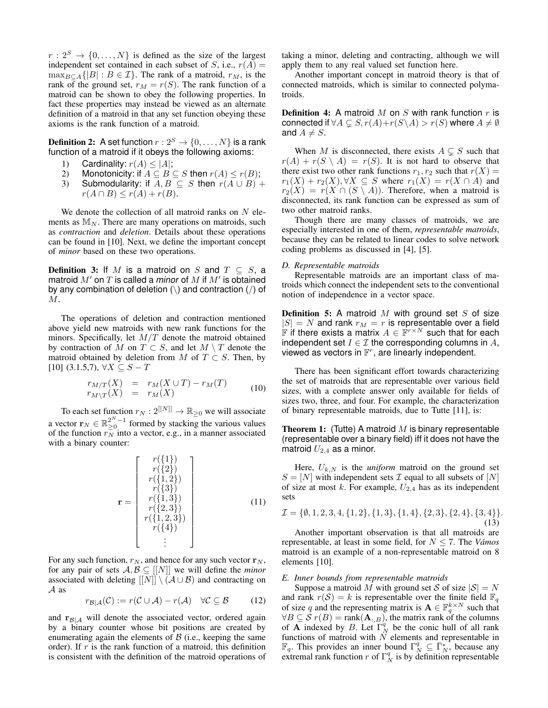$r: 2^S \rightarrow \{0, \ldots, N\}$  is defined as the size of the largest independent set contained in each subset of S, i.e.,  $r(A)$  =  $\max_{B \subset A}$ { $|B| : B \in \mathcal{I}$ }. The rank of a matroid,  $r_M$ , is the rank of the ground set,  $r_M = r(S)$ . The rank function of a matroid can be shown to obey the following properties. In fact these properties may instead be viewed as an alternate definition of a matroid in that any set function obeying these axioms is the rank function of a matroid.

<span id="page-2-0"></span>**Definition 2:** A set function  $r: 2^S \rightarrow \{0, \ldots, N\}$  is a rank function of a matroid if it obeys the following axioms:

- 1) Cardinality:  $r(A) \le |A|$ ;<br>2) Monotonicity: if  $A \subseteq B$
- 2) Monotonicity: if  $A \subseteq B \subseteq S$  then  $r(A) \leq r(B)$ ;<br>3) Submodularity: if  $A, B \subseteq S$  then  $r(A \cup B)$
- Submodularity: if  $A, B \subseteq S$  then  $r(A \cup B)$  +  $r(A \cap B) \leq r(A) + r(B).$

We denote the collection of all matroid ranks on  $N$  elements as  $M_N$ . There are many operations on matroids, such as *contraction* and *deletion*. Details about these operations can be found in [\[10\]](#page-7-7). Next, we define the important concept of *minor* based on these two operations.

**Definition 3:** If M is a matroid on S and  $T \subseteq S$ , a matroid  $M'$  on  $T$  is called a *minor* of  $M$  if  $M'$  is obtained by any combination of deletion  $(\rangle)$  and contraction  $(\prime)$  of M.

The operations of deletion and contraction mentioned above yield new matroids with new rank functions for the minors. Specifically, let  $M/T$  denote the matroid obtained by contraction of M on  $T \subset S$ , and let  $M \setminus T$  denote the matroid obtained by deletion from M of  $T \subset S$ . Then, by [\[10\]](#page-7-7) (3.1.5,7),  $\forall X \subseteq S - T$ 

$$
\begin{array}{rcl}\nr_{M/T}(X) & = & r_M(X \cup T) - r_M(T) \\
r_{M \setminus T}(X) & = & r_M(X)\n\end{array} \tag{10}
$$

To each set function  $r_N : 2^{[[N]]} \to \mathbb{R}_{\geq 0}$  we will associate a vector  $\mathbf{r}_N \in \mathbb{R}_{\geq 0}^{2^N-1}$  formed by stacking the various values of the function  $r_N^-$  into a vector, e.g., in a manner associated with a binary counter:

$$
\mathbf{r} = \begin{bmatrix} r(\{1\}) \\ r(\{2\}) \\ r(\{1,2\}) \\ r(\{3\}) \\ r(\{2,3\}) \\ r(\{2,3\}) \\ r(\{1,2,3\}) \\ r(\{4\}) \\ \vdots \end{bmatrix}
$$
(11)

For any such function,  $r_N$ , and hence for any such vector  $r_N$ , for any pair of sets  $A, B \subseteq [[N]]$  we will define the *minor* associated with deleting  $[[N]] \setminus (\mathcal{A} \cup \mathcal{B})$  and contracting on A as

$$
r_{\mathcal{B}|\mathcal{A}}(\mathcal{C}) := r(\mathcal{C} \cup \mathcal{A}) - r(\mathcal{A}) \quad \forall \mathcal{C} \subseteq \mathcal{B} \tag{12}
$$

and  $r_{\mathcal{B}|\mathcal{A}}$  will denote the associated vector, ordered again by a binary counter whose bit positions are created by enumerating again the elements of  $\beta$  (i.e., keeping the same order). If  $r$  is the rank function of a matroid, this definition is consistent with the definition of the matroid operations of taking a minor, deleting and contracting, although we will apply them to any real valued set function here.

Another important concept in matroid theory is that of connected matroids, which is similar to connected polymatroids.

**Definition 4:** A matroid M on S with rank function  $r$  is connected if  $\forall A \subsetneq S, r(A)+r(S\backslash A) > r(S)$  where  $A \neq \emptyset$ and  $A \neq S$ .

When M is disconnected, there exists  $A \subsetneq S$  such that  $r(A) + r(S \setminus A) = r(S)$ . It is not hard to observe that there exist two other rank functions  $r_1, r_2$  such that  $r(X) =$  $r_1(X) + r_2(X), \forall X \subseteq S$  where  $r_1(X) = r(X \cap A)$  and  $r_2(X) = r(X \cap (S \setminus A))$ . Therefore, when a matroid is disconnected, its rank function can be expressed as sum of two other matroid ranks.

Though there are many classes of matroids, we are especially interested in one of them, *representable matroids*, because they can be related to linear codes to solve network coding problems as discussed in [\[4\]](#page-7-4), [\[5\]](#page-7-5).

## *D. Representable matroids*

Representable matroids are an important class of matroids which connect the independent sets to the conventional notion of independence in a vector space.

**Definition 5:** A matroid  $M$  with ground set  $S$  of size  $|S| = N$  and rank  $r_M = r$  is representable over a field **F** if there exists a matrix  $A \in \mathbb{F}^{r \times N}$  such that for each independent set  $I \in \mathcal{I}$  the corresponding columns in  $A$ , viewed as vectors in  $\mathbb{F}^r$ , are linearly independent.

There has been significant effort towards characterizing the set of matroids that are representable over various field sizes, with a complete answer only available for fields of sizes two, three, and four. For example, the characterization of binary representable matroids, due to Tutte [\[11\]](#page-7-11), is:

**Theorem 1:** (Tutte) A matroid  $M$  is binary representable (representable over a binary field) iff it does not have the matroid  $U_{2,4}$  as a minor.

Here,  $U_{k,N}$  is the *uniform* matroid on the ground set  $S = [N]$  with independent sets  $\mathcal I$  equal to all subsets of  $[N]$ of size at most k. For example,  $U_{2,4}$  has as its independent sets

$$
\mathcal{I} = \{\emptyset, 1, 2, 3, 4, \{1, 2\}, \{1, 3\}, \{1, 4\}, \{2, 3\}, \{2, 4\}, \{3, 4\}\}.
$$
\n(13)

Another important observation is that all matroids are representable, at least in some field, for N ≤ 7. The *Vámos* matroid is an example of a non-representable matroid on 8 elements [\[10\]](#page-7-7).

#### *E. Inner bounds from representable matroids*

Suppose a matroid M with ground set S of size  $|S| = N$ and rank  $r(S) = k$  is representable over the finite field  $\mathbb{F}_q$ of size q and the representing matrix is  $\mathbf{A} \in \mathbb{F}_q^{k \times N}$  such that  $\forall B \subseteq S$   $r(B) = \text{rank}(\mathbf{A}_{:,B})$ , the matrix rank of the columns of **A** indexed by *B*. Let  $\Gamma_N^q$  be the conic hull of all rank functions of matroid with  $N$  elements and representable in  $\mathbb{F}_q$ . This provides an inner bound  $\Gamma_N^q \subseteq \overline{\Gamma_N^*}$ , because any extremal rank function r of  $\Gamma_N^q$  is by definition representable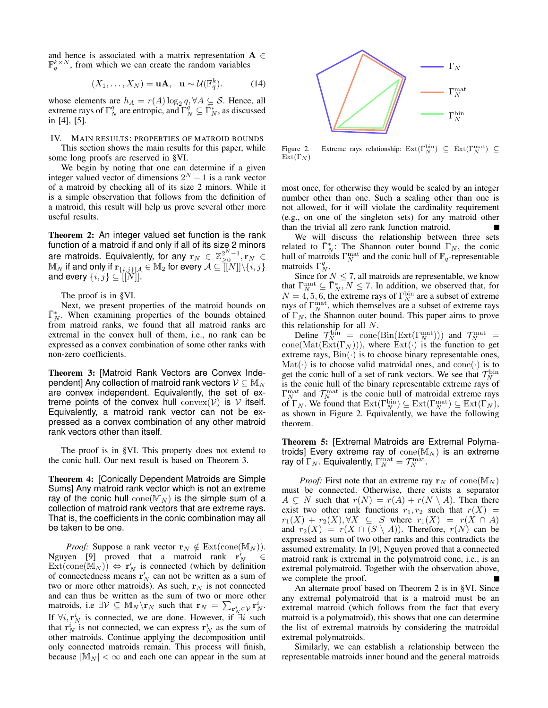and hence is associated with a matrix representation  $A \in$  $\mathbb{F}_q^{k \times N}$ , from which we can create the random variables

$$
(X_1, \ldots, X_N) = \mathbf{u}\mathbf{A}, \quad \mathbf{u} \sim \mathcal{U}(\mathbb{F}_q^k). \tag{14}
$$

whose elements are  $h_A = r(A) \log_2 q$ ,  $\forall A \subseteq S$ . Hence, all extreme rays of  $\Gamma_N^q$  are entropic, and  $\Gamma_N^q \subseteq \overline{\Gamma_N^*}$ , as discussed in [\[4\]](#page-7-4), [\[5\]](#page-7-5).

# <span id="page-3-0"></span>IV. MAIN RESULTS: PROPERTIES OF MATROID BOUNDS

This section shows the main results for this paper, while some long proofs are reserved in [§VI.](#page-5-0)

We begin by noting that one can determine if a given integer valued vector of dimensions  $2^N - 1$  is a rank vector of a matroid by checking all of its size 2 minors. While it is a simple observation that follows from the definition of a matroid, this result will help us prove several other more useful results.

<span id="page-3-3"></span>Theorem 2: An integer valued set function is the rank function of a matroid if and only if all of its size 2 minors are matroids. Equivalently, for any  $\mathbf{r}_N \in \mathbb{Z}_{\geq 0}^{2^N-1}, \mathbf{r}_N \in$  $\mathbb{M}_{N}$  if and only if  $\mathbf{r}_{\{i,j\}\vert\mathcal{A}}\in \mathbb{M}_{2}$  for every  $\mathcal{A}\subseteq\widetilde{[[}N{]]}\backslash\{i,j\}$ and every  $\{i, j\} \subseteq [[N]].$ 

The proof is in [§VI.](#page-5-0)

Next, we present properties of the matroid bounds on  $\bar{\Gamma}_N^*$ . When examining properties of the bounds obtained from matroid ranks, we found that all matroid ranks are extremal in the convex hull of them, i.e., no rank can be expressed as a convex combination of some other ranks with non-zero coefficients.

<span id="page-3-1"></span>Theorem 3: [Matroid Rank Vectors are Convex Independent] Any collection of matroid rank vectors  $\mathcal{V} \subseteq \mathbb{M}_N$ are convex independent. Equivalently, the set of extreme points of the convex hull  $convex(\mathcal{V})$  is  $\mathcal V$  itself. Equivalently, a matroid rank vector can not be expressed as a convex combination of any other matroid rank vectors other than itself.

The proof is in [§VI.](#page-5-0) This property does not extend to the conic hull. Our next result is based on Theorem [3.](#page-3-1)

<span id="page-3-4"></span>Theorem 4: [Conically Dependent Matroids are Simple Sums] Any matroid rank vector which is not an extreme ray of the conic hull  $cone(M_N)$  is the simple sum of a collection of matroid rank vectors that are extreme rays. That is, the coefficients in the conic combination may all be taken to be one.

*Proof:* Suppose a rank vector  $\mathbf{r}_N \notin \text{Ext}(\text{cone}(\mathbb{M}_N)).$ Nguyen [\[9\]](#page-7-12) proved that a matroid rank  $\mathbf{r}_N^{\gamma} \in \mathbb{R}$  $\text{Ext}(\text{cone}(\mathbb{M}_N)) \Leftrightarrow \mathbf{r}'_N$  is connected (which by definition of connectedness means  $\mathbf{r}'_N$  can not be written as a sum of two or more other matroids). As such,  $r_N$  is not connected and can thus be written as the sum of two or more other matroids, i.e  $\exists \mathcal{V} \subseteq \mathbb{M}_N \backslash \mathbf{r}_N$  such that  $\mathbf{r}_N = \sum_{\mathbf{r}_N^i \in \mathcal{V}} \mathbf{r}_N^i$ . If  $\forall i, \mathbf{r}_N^i$  is connected, we are done. However, if  $\exists i$  such that  $\mathbf{r}_N^i$  is not connected, we can express  $\mathbf{r}_N^i$  as the sum of other matroids. Continue applying the decomposition until only connected matroids remain. This process will finish, because  $|M_N| < \infty$  and each one can appear in the sum at



<span id="page-3-2"></span>Figure 2. Extreme rays relationship:  $\text{Ext}(\Gamma_N^{\text{bin}}) \subseteq \text{Ext}(\Gamma_N^{\text{mat}}) \subseteq$  $Ext(\Gamma_N)$ 

most once, for otherwise they would be scaled by an integer number other than one. Such a scaling other than one is not allowed, for it will violate the cardinality requirement (e.g., on one of the singleton sets) for any matroid other than the trivial all zero rank function matroid.

We will discuss the relationship between three sets related to  $\overline{\Gamma}_N^*$ : The Shannon outer bound  $\Gamma_N$ , the conic hull of matroids  $\Gamma_N^{\text{mat}}$  and the conic hull of  $\mathbb{F}_q$ -representable matroids  $\Gamma_N^q$ .

Since for  $N \leq 7$ , all matroids are representable, we know that  $\Gamma_N^{\text{mat}} \subseteq \overline{\Gamma_N^*}, N \le 7$ . In addition, we observed that, for  $N = 4, 5, 6$ , the extreme rays of  $\Gamma_N^{\text{bin}}$  are a subset of extreme rays of  $\Gamma_N^{\text{mat}}$ , which themselves are a subset of extreme rays of  $\Gamma_N$ , the Shannon outer bound. This paper aims to prove this relationship for all N.

Define  $\mathcal{T}_N^{\text{bin}} = \text{cone}(\text{Bin}(\text{Ext}(\Gamma_N^{\text{mat}})))$  and  $\mathcal{T}_N^{\text{mat}} =$ cone(Mat(Ext(Γ<sub>N</sub>))), where Ext(·) is the function to get extreme rays,  $Bin(\cdot)$  is to choose binary representable ones,  $\text{Mat}(\cdot)$  is to choose valid matroidal ones, and cone $(\cdot)$  is to get the conic hull of a set of rank vectors. We see that  $\mathcal{T}_N^{\text{bin}}$ is the conic hull of the binary representable extreme rays of  $\Gamma_N^{\text{mat}}$  and  $\mathcal{T}_N^{\text{mat}}$  is the conic hull of matroidal extreme rays of  $\Gamma_N$ . We found that  $\mathrm{Ext}(\Gamma_N^{\mathrm{bin}}) \subseteq \mathrm{Ext}(\Gamma_N^{\mathrm{mat}}) \subseteq \mathrm{Ext}(\Gamma_N)$ , as shown in Figure [2.](#page-3-2) Equivalently, we have the following theorem.

<span id="page-3-5"></span>Theorem 5: [Extremal Matroids are Extremal Polymatroids] Every extreme ray of  $\mathrm{cone}(\mathbb{M}_N)$  is an extreme ray of  $\Gamma_N$ . Equivalently,  $\Gamma_N^{\rm mat} = \mathcal{T}_N^{\rm mat}$ .

*Proof:* First note that an extreme ray  $\mathbf{r}_N$  of cone( $\mathbb{M}_N$ ) must be connected. Otherwise, there exists a separator  $A \subseteq N$  such that  $r(N) = r(A) + r(N \setminus A)$ . Then there exist two other rank functions  $r_1, r_2$  such that  $r(X) =$  $r_1(X) + r_2(X), \forall X \subseteq S$  where  $r_1(X) = r(X \cap A)$ and  $r_2(X) = r(X \cap (S \setminus A))$ . Therefore,  $r(N)$  can be expressed as sum of two other ranks and this contradicts the assumed extremality. In [\[9\]](#page-7-12), Nguyen proved that a connected matroid rank is extremal in the polymatroid cone, i.e., is an extremal polymatroid. Together with the observation above, we complete the proof.

An alternate proof based on Theorem [2](#page-3-3) is in [§VI.](#page-5-0) Since any extremal polymatroid that is a matroid must be an extremal matroid (which follows from the fact that every matroid is a polymatroid), this shows that one can determine the list of extremal matroids by considering the matroidal extremal polymatroids.

Similarly, we can establish a relationship between the representable matroids inner bound and the general matroids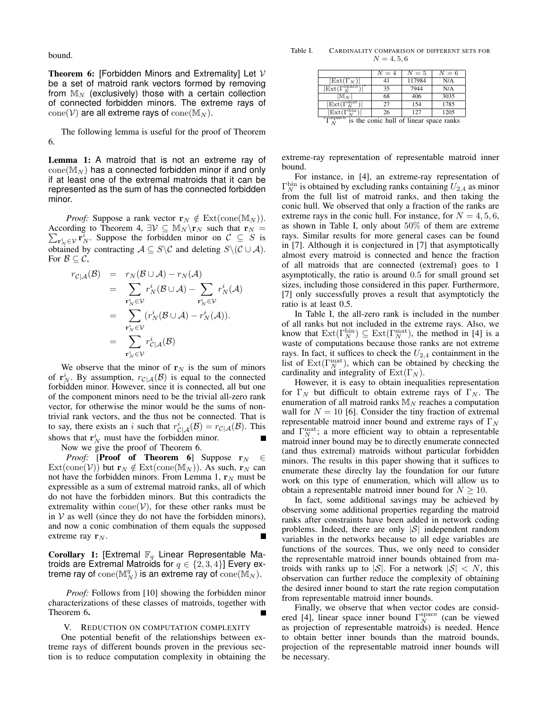bound.

<span id="page-4-1"></span>**Theorem 6:** [Forbidden Minors and Extremality] Let  $V$ be a set of matroid rank vectors formed by removing from  $M_N$  (exclusively) those with a certain collection of connected forbidden minors. The extreme rays of  $cone(\mathcal{V})$  are all extreme rays of  $cone(\mathbb{M}_N)$ .

The following lemma is useful for the proof of Theorem [6.](#page-4-1)

<span id="page-4-2"></span>Lemma 1: A matroid that is not an extreme ray of  $cone(M_N)$  has a connected forbidden minor if and only if at least one of the extremal matroids that it can be represented as the sum of has the connected forbidden minor.

*Proof:* Suppose a rank vector  $\mathbf{r}_N \notin \text{Ext}(\text{cone}(\mathbb{M}_N))$ .  $\sum_{\mathbf{r}_{N}^{i} \in \mathcal{V}} \mathbf{r}_{N}^{i}$ . Suppose the forbidden minor on  $\mathcal{C} \subseteq S$  is According to Theorem [4,](#page-3-4)  $\exists \mathcal{V} \subseteq \mathbb{M}_N \backslash \mathbf{r}_N$  such that  $\mathbf{r}_N =$ obtained by contracting  $A \subseteq S \setminus C$  and deleting  $S \setminus (C \cup A)$ . For  $\mathcal{B} \subseteq \mathcal{C}$ ,

$$
r_{\mathcal{C}|\mathcal{A}}(\mathcal{B}) = r_N(\mathcal{B} \cup \mathcal{A}) - r_N(\mathcal{A})
$$
  
\n
$$
= \sum_{\substack{\mathbf{r}_N^i \in \mathcal{V} \\ \mathbf{r}_N^i \in \mathcal{V}}} r_N^i(\mathcal{B} \cup \mathcal{A}) - \sum_{\substack{\mathbf{r}_N^i \in \mathcal{V} \\ \mathbf{r}_N^i \in \mathcal{V}}} r_N^i(\mathcal{A})
$$
  
\n
$$
= \sum_{\substack{\mathbf{r}_N^i \in \mathcal{V} \\ \mathbf{r}_N^i \in \mathcal{V}}} r_{\mathcal{C}|\mathcal{A}}^i(\mathcal{B})
$$

We observe that the minor of  $r_N$  is the sum of minors of  $\mathbf{r}_N^i$ . By assumption,  $r_{\mathcal{C}|\mathcal{A}}(\mathcal{B})$  is equal to the connected forbidden minor. However, since it is connected, all but one of the component minors need to be the trivial all-zero rank vector, for otherwise the minor would be the sums of nontrivial rank vectors, and the thus not be connected. That is to say, there exists an i such that  $r_{\mathcal{C}|\mathcal{A}}^i(\mathcal{B}) = r_{\mathcal{C}|\mathcal{A}}(\mathcal{B})$ . This shows that  $\mathbf{r}_N^i$  must have the forbidden minor.

Now we give the proof of Theorem [6.](#page-4-1)

*Proof:* [Proof of Theorem [6](#page-4-1)] Suppose  $r_N \in$  $Ext(\text{cone}(\mathcal{V}))$  but  $\mathbf{r}_N \notin Ext(\text{cone}(\mathbb{M}_N))$ . As such,  $\mathbf{r}_N$  can not have the forbidden minors. From Lemma [1,](#page-4-2)  $r_N$  must be expressible as a sum of extremal matroid ranks, all of which do not have the forbidden minors. But this contradicts the extremality within  $cone(\mathcal{V})$ , for these other ranks must be in  $V$  as well (since they do not have the forbidden minors), and now a conic combination of them equals the supposed extreme ray  $r_N$ .

Corollary 1: [Extremal  $\mathbb{F}_q$  Linear Representable Matroids are Extremal Matroids for  $q \in \{2,3,4\}$  Every extreme ray of  $\mathrm{cone}(\mathbb{M}^q_N)$  is an extreme ray of  $\mathrm{cone}(\mathbb{M}_N).$ 

*Proof:* Follows from [\[10\]](#page-7-7) showing the forbidden minor characterizations of these classes of matroids, together with Theorem [6](#page-4-1).

#### V. REDUCTION ON COMPUTATION COMPLEXITY

<span id="page-4-0"></span>One potential benefit of the relationships between extreme rays of different bounds proven in the previous section is to reduce computation complexity in obtaining the

Table I. CARDINALITY COMPARISON OF DIFFERENT SETS FOR  $N = 4, 5, 6$ 

<span id="page-4-3"></span>

|                                                                   | $N=4$ | $N=5$  | $N=6$ |
|-------------------------------------------------------------------|-------|--------|-------|
| $ \text{Ext}(\Gamma_N) $                                          | 41    | 117984 | N/A   |
| $ \text{Ext}(\Gamma^\text{space}_N) $                             | 35    | 7944   | N/A   |
| $\mathbb{M}_{N}$                                                  | 68    | 406    | 3035  |
| $\vert$ Ext $(\Gamma_N^{\text{mat}})$                             | 27    | 154    | 1785  |
| $\mathop{\rm Ext}\nolimits(\Gamma$                                | 26    | 127    | 1205  |
| $\ast$ <sub>T</sub> space<br>the conic hull of linear snace ranks |       |        |       |

 $^{\mathbf{\scriptscriptstyle I}}$   $\tilde{N}$  $N<sub>N</sub>$  is the conic hull of linear space ranks

extreme-ray representation of representable matroid inner bound.

For instance, in [\[4\]](#page-7-4), an extreme-ray representation of  $\Gamma_N^{\text{bin}}$  is obtained by excluding ranks containing  $U_{2,4}$  as minor from the full list of matroid ranks, and then taking the conic hull. We observed that only a fraction of the ranks are extreme rays in the conic hull. For instance, for  $N = 4, 5, 6$ , as shown in Table [I,](#page-4-3) only about 50% of them are extreme rays. Similar results for more general cases can be found in [\[7\]](#page-7-13). Although it is conjectured in [\[7\]](#page-7-13) that asymptotically almost every matroid is connected and hence the fraction of all matroids that are connected (extremal) goes to 1 asymptotically, the ratio is around 0.5 for small ground set sizes, including those considered in this paper. Furthermore, [\[7\]](#page-7-13) only successfully proves a result that asymptoticly the ratio is at least 0.5.

In Table [I,](#page-4-3) the all-zero rank is included in the number of all ranks but not included in the extreme rays. Also, we know that  $\text{Ext}(\Gamma_N^{\text{bin}}) \subseteq \text{Ext}(\Gamma_N^{\text{mat}})$ , the method in [\[4\]](#page-7-4) is a waste of computations because those ranks are not extreme rays. In fact, it suffices to check the  $U_{2,4}$  containment in the list of  $Ext(\Gamma_N^{\rm mat})$ , which can be obtained by checking the cardinality and integrality of  $Ext(\Gamma_N)$ .

However, it is easy to obtain inequalities representation for  $\Gamma_N$  but difficult to obtain extreme rays of  $\Gamma_N$ . The enumeration of all matroid ranks  $M_N$  reaches a computation wall for  $N = 10$  [\[6\]](#page-7-14). Consider the tiny fraction of extremal representable matroid inner bound and extreme rays of  $\Gamma_N$ and  $\Gamma_N^{\text{mat}}$ ; a more efficient way to obtain a representable matroid inner bound may be to directly enumerate connected (and thus extremal) matroids without particular forbidden minors. The results in this paper showing that it suffices to enumerate these direclty lay the foundation for our future work on this type of enumeration, which will allow us to obtain a representable matroid inner bound for  $N \geq 10$ .

In fact, some additional savings may be achieved by observing some additional properties regarding the matroid ranks after constraints have been added in network coding problems. Indeed, there are only  $|S|$  independent random variables in the networks because to all edge variables are functions of the sources. Thus, we only need to consider the representable matroid inner bounds obtained from matroids with ranks up to  $|S|$ . For a network  $|S| < N$ , this observation can further reduce the complexity of obtaining the desired inner bound to start the rate region computation from representable matroid inner bounds.

Finally, we observe that when vector codes are consid-ered [\[4\]](#page-7-4), linear space inner bound  $\Gamma_N^{\text{space}}$  (can be viewed as projection of representable matroids) is needed. Hence to obtain better inner bounds than the matroid bounds, projection of the representable matroid inner bounds will be necessary.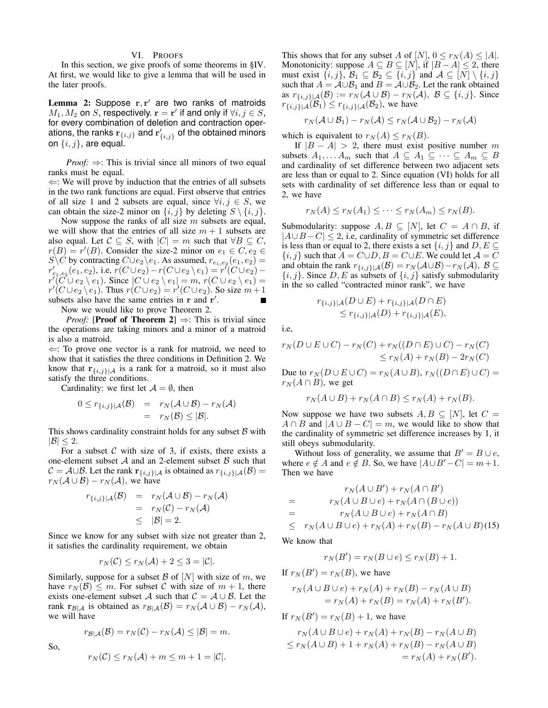# VI. PROOFS

<span id="page-5-0"></span>In this section, we give proofs of some theorems in [§IV.](#page-3-0) At first, we would like to give a lemma that will be used in the later proofs.

<span id="page-5-1"></span>Lemma 2: Suppose  $r, r'$  are two ranks of matroids  $M_1, M_2$  on S, respectively.  $\mathbf{r} = \mathbf{r}'$  if and only if  $\forall i, j \in S$ , for every combination of deletion and contraction operations, the ranks  $\mathbf{r}_{\{i,j\}}$  and  $\mathbf{r}'_{\{i,j\}}$  of the obtained minors on  $\{i, j\}$ , are equal.

*Proof:* ⇒: This is trivial since all minors of two equal ranks must be equal.  $\Leftrightarrow$ : We will prove by induction that the entries of all subsets

in the two rank functions are equal. First observe that entries of all size 1 and 2 subsets are equal, since  $\forall i, j \in S$ , we can obtain the size-2 minor on  $\{i, j\}$  by deleting  $S \setminus \{i, j\}$ .

Now suppose the ranks of all size  $m$  subsets are equal, we will show that the entries of all size  $m + 1$  subsets are also equal. Let  $C \subseteq S$ , with  $|C| = m$  such that  $\forall B \subseteq C$ ,  $r(B) = r'(B)$ . Consider the size-2 minor on  $e_1 \in C$ ,  $e_2 \in C$ S\C by contracting  $C \cup e_2 \setminus e_1$ . As assumed,  $r_{e_1,e_2}(e_1,e_2) =$  $r'_{e_1,e_2}(e_1,e_2)$ , i.e,  $r(C \cup e_2) - r(C \cup e_2 \setminus e_1) = r^{r}(C \cup e_2)$  $r^7$ ( $C \cup e_2 \setminus e_1$ ). Since  $|C \cup e_2 \setminus e_1| = m$ ,  $r(C \cup e_2 \setminus e_1) =$  $r'(C \cup e_2 \setminus e_1)$ . Thus  $r(C \cup e_2) = r'(C \cup e_2)$ . So size  $m+1$ subsets also have the same entries in  $\bf{r}$  and  $\bf{r}'$ .

Now we would like to prove Theorem [2.](#page-3-3)

*Proof:* [**Proof of Theorem [2](#page-3-3)**]  $\Rightarrow$ : This is trivial since the operations are taking minors and a minor of a matroid is also a matroid.

 $\Leftrightarrow$ : To prove one vector is a rank for matroid, we need to show that it satisfies the three conditions in Definition [2.](#page-2-0) We know that  $\mathbf{r}_{\{i,j\}\vert\mathcal{A}}$  is a rank for a matroid, so it must also satisfy the three conditions.

Cardinality: we first let  $\mathcal{A} = \emptyset$ , then

$$
0 \leq r_{\{i,j\}|\mathcal{A}}(\mathcal{B}) = r_N(\mathcal{A} \cup \mathcal{B}) - r_N(\mathcal{A})
$$
  
=  $r_N(\mathcal{B}) \leq |\mathcal{B}|.$ 

This shows cardinality constraint holds for any subset  $\beta$  with  $|\mathcal{B}| < 2$ .

For a subset  $C$  with size of 3, if exists, there exists a one-element subset  $A$  and an 2-element subset  $B$  such that  $C = A \cup B$ . Let the rank  $\mathbf{r}_{\{i,j\}|\mathcal{A}}$  is obtained as  $r_{\{i,j\}|\mathcal{A}}(\mathcal{B}) =$  $r_N(\mathcal{A} \cup \mathcal{B}) - r_N(\mathcal{A}),$  we have

$$
r_{\{i,j\}|\mathcal{A}}(\mathcal{B}) = r_N(\mathcal{A} \cup \mathcal{B}) - r_N(\mathcal{A})
$$
  
=  $r_N(\mathcal{C}) - r_N(\mathcal{A})$   
 $\leq |\mathcal{B}| = 2.$ 

Since we know for any subset with size not greater than 2, it satisfies the cardinality requirement, we obtain

$$
r_N(\mathcal{C}) \le r_N(\mathcal{A}) + 2 \le 3 = |\mathcal{C}|.
$$

Similarly, suppose for a subset  $\mathcal{B}$  of  $[N]$  with size of m, we have  $r_N(\mathcal{B}) \leq m$ . For subset C with size of  $m + 1$ , there exists one-element subset A such that  $C = A \cup B$ . Let the rank  $r_{\mathcal{B}|\mathcal{A}}$  is obtained as  $r_{\mathcal{B}|\mathcal{A}}(\mathcal{B}) = r_N(\mathcal{A} \cup \mathcal{B}) - r_N(\mathcal{A}),$ we will have

So,

$$
r_{\mathcal{B}|\mathcal{A}}(\mathcal{B})=r_N(\mathcal{C})-r_N(\mathcal{A})\leq |\mathcal{B}|=m.
$$

$$
r_N(\mathcal{C}) \le r_N(\mathcal{A}) + m \le m + 1 = |\mathcal{C}|.
$$

This shows that for any subset A of [N],  $0 \le r_N(A) \le |A|$ . Monotonicity: suppose  $A \subseteq B \subseteq [N]$ , if  $|B - A| \leq 2$ , there must exist  $\{i, j\}$ ,  $\mathcal{B}_1 \subseteq \mathcal{B}_2 \subseteq \{i, j\}$  and  $\mathcal{A} \subseteq [N] \setminus \{i, j\}$ such that  $A = \mathcal{A} \cup \mathcal{B}_1$  and  $B = \mathcal{A} \cup \mathcal{B}_2$ . Let the rank obtained as  $r_{\{i,j\}\downarrow\mathcal{A}}(\mathcal{B}) := r_N(\mathcal{A}\cup\mathcal{B}) - r_N(\mathcal{A}), \mathcal{B} \subseteq \{i,j\}.$  Since  $r_{\{i,j\}\mid\mathcal{A}}(\mathcal{B}_1) \leq r_{\{i,j\}\mid\mathcal{A}}(\mathcal{B}_2)$ , we have

$$
r_N(\mathcal{A}\cup\mathcal{B}_1)-r_N(\mathcal{A})\leq r_N(\mathcal{A}\cup\mathcal{B}_2)-r_N(\mathcal{A})
$$

which is equivalent to  $r_N(A) \le r_N(B)$ .

If  $|B - A| > 2$ , there must exist positive number m subsets  $A_1, \ldots, A_m$  such that  $A \subseteq A_1 \subseteq \cdots \subseteq A_m \subseteq B$ and cardinality of set difference between two adjacent sets are less than or equal to 2. Since equation [\(VI\)](#page-5-1) holds for all sets with cardinality of set difference less than or equal to 2, we have

$$
r_N(A) \le r_N(A_1) \le \cdots \le r_N(A_m) \le r_N(B).
$$

Submodularity: suppose  $A, B \subseteq [N]$ , let  $C = A \cap B$ , if  $|A \cup B - C| \leq 2$ , i.e, cardinality of symmetric set difference is less than or equal to 2, there exists a set  $\{i, j\}$  and  $D, E \subseteq$  ${i, j}$  such that  $A = C \cup D$ ,  $B = C \cup E$ . We could let  $A = C$ and obtain the rank  $r_{\{i,j\}|\mathcal{A}}(\mathcal{B}) = r_N(\mathcal{A}\cup\mathcal{B}) - r_N(\mathcal{A}), \mathcal{B} \subseteq$  ${i, j}$ . Since D, E as subsets of  ${i, j}$  satisfy submodularity in the so called "contracted minor rank", we have

$$
r_{\{i,j\}|\mathcal{A}}(D \cup E) + r_{\{i,j\}|\mathcal{A}}(D \cap E) \le r_{\{i,j\}|\mathcal{A}}(D) + r_{\{i,j\}|\mathcal{A}}(E),
$$

i.e,

$$
r_N(D \cup E \cup C) - r_N(C) + r_N((D \cap E) \cup C) - r_N(C)
$$
  

$$
\leq r_N(A) + r_N(B) - 2r_N(C)
$$

Due to  $r_N(D\cup E\cup C)=r_N(A\cup B), r_N((D\cap E)\cup C)=$  $r_N(A \cap B)$ , we get

$$
r_N(A \cup B) + r_N(A \cap B) \le r_N(A) + r_N(B).
$$

Now suppose we have two subsets  $A, B \subseteq [N]$ , let  $C =$  $A \cap B$  and  $|A \cup B - C| = m$ , we would like to show that the cardinality of symmetric set difference increases by 1, it still obeys submodularity.

Without loss of generality, we assume that  $B' = B \cup e$ , where  $e \notin A$  and  $e \notin B$ . So, we have  $|A \cup B'-C| = m+1$ . Then we have

$$
r_N(A \cup B') + r_N(A \cap B')
$$
  
= 
$$
r_N(A \cup B \cup e) + r_N(A \cap (B \cup e))
$$
  
= 
$$
r_N(A \cup B \cup e) + r_N(A \cap B)
$$
  

$$
\leq r_N(A \cup B \cup e) + r_N(A) + r_N(B) - r_N(A \cup B)
$$
(15)

We know that

$$
r_N(B') = r_N(B \cup e) \le r_N(B) + 1.
$$

If 
$$
r_N(B') = r_N(B)
$$
, we have  
\n
$$
r_N(A \cup B \cup e) + r_N(A) + r_N(B) - r_N(A \cup B)
$$
\n
$$
= r_N(A) + r_N(B) = r_N(A) + r_N(B').
$$

If 
$$
r_N(B') = r_N(B) + 1
$$
, we have  
\n
$$
r_N(A \cup B \cup e) + r_N(A) + r_N(B) - r_N(A \cup B)
$$
\n
$$
\leq r_N(A \cup B) + 1 + r_N(A) + r_N(B) - r_N(A \cup B)
$$
\n
$$
= r_N(A) + r_N(B').
$$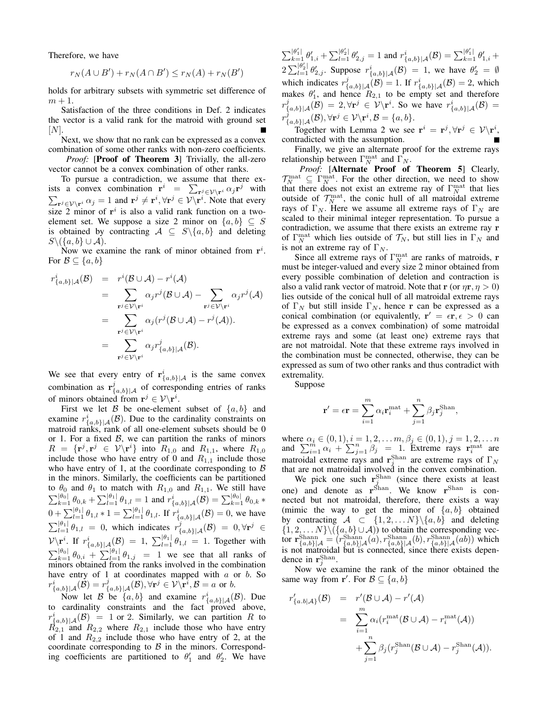Therefore, we have

$$
r_N(A \cup B') + r_N(A \cap B') \le r_N(A) + r_N(B')
$$

holds for arbitrary subsets with symmetric set difference of  $m+1$ .

Satisfaction of the three conditions in Def. [2](#page-2-0) indicates the vector is a valid rank for the matroid with ground set  $|N|$ .

Next, we show that no rank can be expressed as a convex combination of some other ranks with non-zero coefficients.

*Proof:* [Proof of Theorem [3](#page-3-1)] Trivially, the all-zero vector cannot be a convex combination of other ranks.

To pursue a contradiction, we assume that there exists a convex combination  $\mathbf{r}^i = \sum_{\mathbf{r}^j \in \mathcal{V} \setminus \mathbf{r}^i} \alpha_j \mathbf{r}^j$  with  $\sum_{\mathbf{r}^j \in \mathcal{V} \setminus \mathbf{r}^i} \alpha_j = 1$  and  $\mathbf{r}^j \neq \mathbf{r}^i, \forall \mathbf{r}^j \in \mathcal{V} \setminus \mathbf{r}^i$ . Note that every size 2 minor of  $r^i$  is also a valid rank function on a twoelement set. We suppose a size 2 minor on  $\{a, b\} \subseteq S$ is obtained by contracting  $A \subseteq S \setminus \{a, b\}$  and deleting  $S\setminus (\{a, b\} \cup \mathcal{A}).$ 

Now we examine the rank of minor obtained from  $r^i$ . For  $\mathcal{B} \subseteq \{a, b\}$ 

$$
r_{\{a,b\}|\mathcal{A}}^{i}(\mathcal{B}) = r^{i}(\mathcal{B} \cup \mathcal{A}) - r^{i}(\mathcal{A})
$$
  
\n
$$
= \sum_{\mathbf{r}^{j} \in \mathcal{V} \backslash \mathbf{r}^{i}} \alpha_{j} r^{j}(\mathcal{B} \cup \mathcal{A}) - \sum_{\mathbf{r}^{j} \in \mathcal{V} \backslash \mathbf{r}^{i}} \alpha_{j} r^{j}(\mathcal{A})
$$
  
\n
$$
= \sum_{\mathbf{r}^{j} \in \mathcal{V} \backslash \mathbf{r}^{i}} \alpha_{j} (r^{j}(\mathcal{B} \cup \mathcal{A}) - r^{j}(\mathcal{A})).
$$
  
\n
$$
= \sum_{\mathbf{r}^{j} \in \mathcal{V} \backslash \mathbf{r}^{i}} \alpha_{j} r^{j}_{\{a,b\}|\mathcal{A}}(\mathcal{B}).
$$

We see that every entry of  $\mathbf{r}_{\{a,b\}|\mathcal{A}}^i$  is the same convex combination as  $\mathbf{r}_{\{a,b\}|\mathcal{A}}^j$  of corresponding entries of ranks of minors obtained from  $\mathbf{r}^j \in \mathcal{V} \backslash \mathbf{r}^i$ .

First we let B be one-element subset of  $\{a, b\}$  and examine  $r^i_{\{a,b\}|\mathcal{A}}(\mathcal{B})$ . Due to the cardinality constraints on matroid ranks, rank of all one-element subsets should be 0 or 1. For a fixed  $\beta$ , we can partition the ranks of minors  $R = {\mathbf{r}^j, \mathbf{r}^j \in \mathcal{V} \backslash \mathbf{r}^i}$  into  $R_{1,0}$  and  $R_{1,1}$ , where  $R_{1,0}$ include those who have entry of 0 and  $R_{1,1}$  include those who have entry of 1, at the coordinate corresponding to  $\beta$ in the minors. Similarly, the coefficients can be partitioned to  $\theta_0$  and  $\theta_1$  to match with  $R_{1,0}$  and  $R_{1,1}$ . We still have  $\sum_{k=1}^{|\theta_0|} \theta_{0,k} + \sum_{l=1}^{|\theta_1|} \theta_{1,l} = 1$  and  $r^i_{\{a,b\}|\mathcal{A}}(\mathcal{B}) = \sum_{k=1}^{|\theta_0|} \theta_{0,k}$  $0 + \sum_{l=1}^{|\theta_1|} \theta_{1,l} * 1 = \sum_{l=1}^{|\theta_1|} \theta_{1,l}$ . If  $r^i_{\{a,b\}|\mathcal{A}}(\mathcal{B}) = 0$ , we have  $\sum_{l=1}^{|\theta_1|} \theta_{1,l} = 0$ , which indicates  $r^j_{\{a,b\}|\mathcal{A}}(\mathcal{B}) = 0, \forall \mathbf{r}^j \in$  ${\cal V}\backslash {\bf r}^i$ . If  $r^i_{\{a,b\} | {\cal A}}({\cal B}) = 1$ ,  $\sum_{l=1}^{|\theta_1|} \theta_{1,l} = 1$ . Together with  $\sum_{k=1}^{|\theta_0|} \theta_{0,i} + \sum_{l=1}^{|\theta_1|} \theta_{1,j} = 1$  we see that all ranks of minors obtained from the ranks involved in the combination have entry of  $1$  at coordinates mapped with  $a$  or  $b$ . So  $r^i_{\{a,b\}|\mathcal{A}}(\mathcal{B})=r^j_{\{a,b\}|\mathcal{A}}(\mathcal{B}), \forall \mathbf{r}^j\in\mathcal{V}\backslash\mathbf{\overline{r}}^i, \mathcal{B}=a \,\, \text{or} \,\, b.$ 

Now let B be  $\{a, b\}$  and examine  $r^i_{\{a, b\} | \mathcal{A}}(\mathcal{B})$ . Due to cardinality constraints and the fact proved above,  $r^i_{\{a,b\}|\mathcal{A}}(\mathcal{B}) = 1$  or 2. Similarly, we can partition R to  $R_{2,1}$  and  $R_{2,2}$  where  $R_{2,1}$  include those who have entry of 1 and  $R_{2,2}$  include those who have entry of 2, at the coordinate corresponding to  $\beta$  in the minors. Corresponding coefficients are partitioned to  $\theta'_1$  and  $\theta'_2$ . We have  $\sum_{k=1}^{|\theta'_1|} \theta'_{1,i} + \sum_{l=1}^{|\theta'_2|} \theta'_{2,j} = 1$  and  $r^i_{\{a,b\}|\mathcal{A}}(\mathcal{B}) = \sum_{k=1}^{|\theta'_1|} \theta'_{1,i} +$  $2\sum_{l=1}^{\left|\theta_{2}^{l}\right|}\theta_{2,j}^{l}$ . Suppose  $r_{\{a,b\}\mid\mathcal{A}}^{i}(\mathcal{B})=1$ , we have  $\theta_{2}^{l}=\emptyset$ which indicates  $r^j_{\{a,b\}|\mathcal{A}}(\mathcal{B}) = 1$ . If  $r^i_{\{a,b\}|\mathcal{A}}(\mathcal{B}) = 2$ , which makes  $\theta'_1$ , and hence  $R_{2,1}$  to be empty set and therefore  $r^j_{\{a,b\}|\mathcal{A}}(\mathcal{B}) = 2, \forall \mathbf{r}^j \in \mathcal{V}\backslash \mathbf{r}^i$ . So we have  $r^i_{\{a,b\}|\mathcal{A}}(\mathcal{B}) =$  $r^j_{\{a,b\}|\mathcal{A}}(\mathcal{B}), \forall \mathbf{r}^j\in\mathcal{V}\backslash\mathbf{r}^i, \mathcal{B}=\{a,b\}.$ 

Together with Lemma [2](#page-5-1) we see  $\mathbf{r}^i = \mathbf{r}^j, \forall \mathbf{r}^j \in \mathcal{V} \backslash \mathbf{r}^i$ , contradicted with the assumption.

Finally, we give an alternate proof for the extreme rays relationship between  $\Gamma_N^{\text{mat}}$  and  $\Gamma_N$ .

*Proof:* [Alternate Proof of Theorem [5](#page-3-5)] Clearly,  $\mathcal{T}_N^{\text{mat}} \subseteq \Gamma_N^{\text{mat}}$ . For the other direction, we need to show that there does not exist an extreme ray of  $\Gamma_N^{\text{mat}}$  that lies outside of  $T_N^{\text{mat}}$ , the conic hull of all matroidal extreme rays of  $\Gamma_N$ . Here we assume all extreme rays of  $\Gamma_N$  are scaled to their minimal integer representation. To pursue a contradiction, we assume that there exists an extreme ray r of  $\Gamma_N^{\text{mat}}$  which lies outside of  $\mathcal{T}_N$ , but still lies in  $\Gamma_N$  and is not an extreme ray of  $\Gamma_N$ .

Since all extreme rays of  $\Gamma_N^{\text{mat}}$  are ranks of matroids, r must be integer-valued and every size 2 minor obtained from every possible combination of deletion and contraction is also a valid rank vector of matroid. Note that r (or  $\eta r, \eta > 0$ ) lies outside of the conical hull of all matroidal extreme rays of  $\Gamma_N$  but still inside  $\Gamma_N$ , hence r can be expressed as a conical combination (or equivalently,  $\mathbf{r}' = \epsilon \mathbf{r}, \epsilon > 0$  can be expressed as a convex combination) of some matroidal extreme rays and some (at least one) extreme rays that are not matroidal. Note that these extreme rays involved in the combination must be connected, otherwise, they can be expressed as sum of two other ranks and thus contradict with extremality.

Suppose

r

$$
\mathbf{r}' = \epsilon \mathbf{r} = \sum_{i=1}^{m} \alpha_i \mathbf{r}_i^{\text{mat}} + \sum_{j=1}^{n} \beta_j \mathbf{r}_j^{\text{Shan}},
$$

where  $\alpha_i \in (0, 1), i = 1, 2, ..., m, \beta_j \in (0, 1), j = 1, 2, ..., n$ <br>and  $\sum_{i=1}^{m} \alpha_i + \sum_{j=1}^{n} \beta_j = 1$ . Extreme rays  $\mathbf{r}_i^{\text{mat}}$  are matroidal extreme rays and  $\mathbf{r}_j^{\text{Shan}}$  are extreme rays of  $\Gamma_N$ that are not matroidal involved in the convex combination.

We pick one such  $\mathbf{r}_i^{\text{Shan}}$  (since there exists at least we pick one such  $I_j$  (since there exists at least<br>one) and denote as  $r^{Shan}$ . We know  $r^{Shan}$  is connected but not matroidal, therefore, there exists a way (mimic the way to get the minor of  $\{a, b\}$  obtained by contracting  $A \subset \{1, 2, \ldots N\} \setminus \{a, b\}$  and deleting  $\{1, 2, \ldots N\} \setminus (\{a, b\} \cup \mathcal{A})$  to obtain the corresponding vecfor  $\mathbf{r}_{\{a,b\}|\mathcal{A}}^{\text{Shann}} = (r_{\{a,b\}|\mathcal{A}}^{\text{Shann}}(a), r_{\{a,b\}|\mathcal{A}}^{\text{Shann}}(b), r_{\{a,b\}|\mathcal{A}}^{\text{Shann}}(ab))$  which is not matroidal but is connected, since there exists dependence in  $\mathbf{r}^{\text{Shan}}_j$ .

Now we examine the rank of the minor obtained the same way from  $\mathbf{r}'$ . For  $\mathcal{B} \subseteq \{a, b\}$ 

$$
r'_{\{a,b|A\}}(\mathcal{B}) = r'(\mathcal{B} \cup \mathcal{A}) - r'(\mathcal{A})
$$
  
= 
$$
\sum_{i=1}^{m} \alpha_i (r_i^{\text{mat}}(\mathcal{B} \cup \mathcal{A}) - r_i^{\text{mat}}(\mathcal{A}))
$$
  
+ 
$$
\sum_{j=1}^{n} \beta_j (r_j^{\text{Shan}}(\mathcal{B} \cup \mathcal{A}) - r_j^{\text{Shan}}(\mathcal{A})).
$$